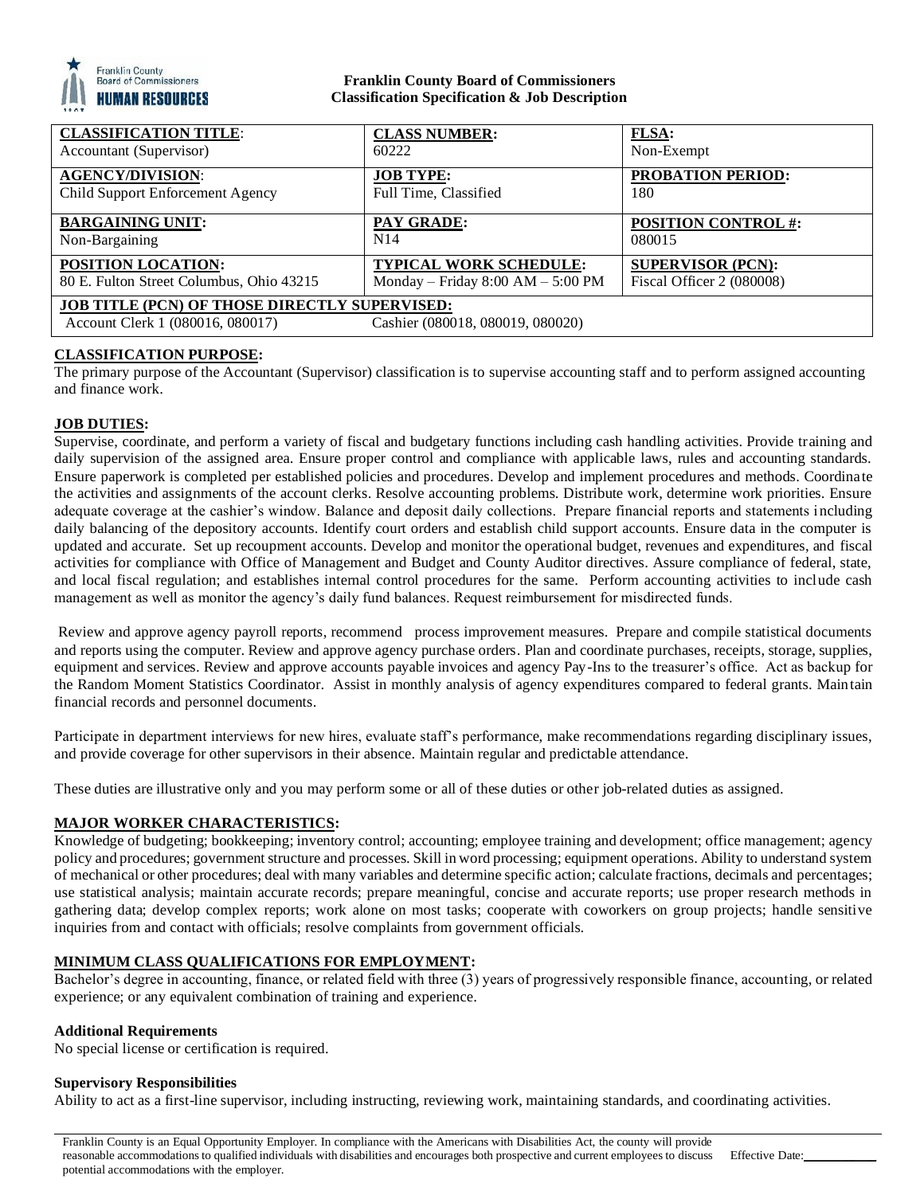

# **Franklin County Board of Commissioners Classification Specification & Job Description**

| <b>CLASSIFICATION TITLE:</b>                         | <b>CLASS NUMBER:</b>                | FLSA:                      |
|------------------------------------------------------|-------------------------------------|----------------------------|
| Accountant (Supervisor)                              | 60222                               | Non-Exempt                 |
| <b>AGENCY/DIVISION:</b>                              | <b>JOB TYPE:</b>                    | PROBATION PERIOD:          |
| Child Support Enforcement Agency                     | Full Time, Classified               | 180                        |
| <b>BARGAINING UNIT:</b>                              | PAY GRADE:                          | <b>POSITION CONTROL #:</b> |
| Non-Bargaining                                       | N <sub>14</sub>                     | 080015                     |
| POSITION LOCATION:                                   | <b>TYPICAL WORK SCHEDULE:</b>       | <b>SUPERVISOR (PCN):</b>   |
| 80 E. Fulton Street Columbus, Ohio 43215             | Monday – Friday $8:00 AM - 5:00 PM$ | Fiscal Officer 2 (080008)  |
| <b>JOB TITLE (PCN) OF THOSE DIRECTLY SUPERVISED:</b> |                                     |                            |
| Account Clerk 1 (080016, 080017)                     | Cashier (080018, 080019, 080020)    |                            |

# **CLASSIFICATION PURPOSE:**

The primary purpose of the Accountant (Supervisor) classification is to supervise accounting staff and to perform assigned accounting and finance work.

## **JOB DUTIES:**

Supervise, coordinate, and perform a variety of fiscal and budgetary functions including cash handling activities. Provide training and daily supervision of the assigned area. Ensure proper control and compliance with applicable laws, rules and accounting standards. Ensure paperwork is completed per established policies and procedures. Develop and implement procedures and methods. Coordinate the activities and assignments of the account clerks. Resolve accounting problems. Distribute work, determine work priorities. Ensure adequate coverage at the cashier's window. Balance and deposit daily collections. Prepare financial reports and statements including daily balancing of the depository accounts. Identify court orders and establish child support accounts. Ensure data in the computer is updated and accurate. Set up recoupment accounts. Develop and monitor the operational budget, revenues and expenditures, and fiscal activities for compliance with Office of Management and Budget and County Auditor directives. Assure compliance of federal, state, and local fiscal regulation; and establishes internal control procedures for the same. Perform accounting activities to include cash management as well as monitor the agency's daily fund balances. Request reimbursement for misdirected funds.

Review and approve agency payroll reports, recommend process improvement measures. Prepare and compile statistical documents and reports using the computer. Review and approve agency purchase orders. Plan and coordinate purchases, receipts, storage, supplies, equipment and services. Review and approve accounts payable invoices and agency Pay-Ins to the treasurer's office. Act as backup for the Random Moment Statistics Coordinator. Assist in monthly analysis of agency expenditures compared to federal grants. Maintain financial records and personnel documents.

Participate in department interviews for new hires, evaluate staff's performance, make recommendations regarding disciplinary issues, and provide coverage for other supervisors in their absence. Maintain regular and predictable attendance.

These duties are illustrative only and you may perform some or all of these duties or other job-related duties as assigned.

## **MAJOR WORKER CHARACTERISTICS:**

Knowledge of budgeting; bookkeeping; inventory control; accounting; employee training and development; office management; agency policy and procedures; government structure and processes. Skill in word processing; equipment operations. Ability to understand system of mechanical or other procedures; deal with many variables and determine specific action; calculate fractions, decimals and percentages; use statistical analysis; maintain accurate records; prepare meaningful, concise and accurate reports; use proper research methods in gathering data; develop complex reports; work alone on most tasks; cooperate with coworkers on group projects; handle sensitive inquiries from and contact with officials; resolve complaints from government officials.

# **MINIMUM CLASS QUALIFICATIONS FOR EMPLOYMENT:**

Bachelor's degree in accounting, finance, or related field with three (3) years of progressively responsible finance, accounting, or related experience; or any equivalent combination of training and experience.

## **Additional Requirements**

No special license or certification is required.

#### **Supervisory Responsibilities**

Ability to act as a first-line supervisor, including instructing, reviewing work, maintaining standards, and coordinating activities.

Franklin County is an Equal Opportunity Employer. In compliance with the Americans with Disabilities Act, the county will provide reasonable accommodations to qualified individuals with disabilities and encourages both prospective and current employees to discuss potential accommodations with the employer.